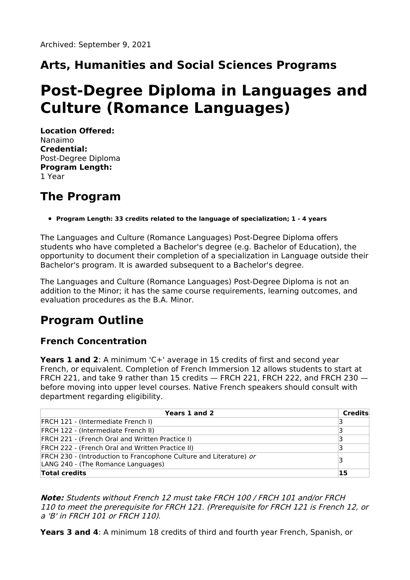# **Arts, Humanities and Social Sciences Programs**

# **Post-Degree Diploma in Languages and Culture (Romance Languages)**

**Location Offered:** Nanaimo **Credential:** Post-Degree Diploma **Program Length:** 1 Year

### **The Program**

#### **Program Length: 33 credits related to the language of specialization; 1 - 4 years**

The Languages and Culture (Romance Languages) Post-Degree Diploma offers students who have completed a Bachelor's degree (e.g. Bachelor of Education), the opportunity to document their completion of a specialization in Language outside their Bachelor's program. It is awarded subsequent to a Bachelor's degree.

The Languages and Culture (Romance Languages) Post-Degree Diploma is not an addition to the Minor; it has the same course requirements, learning outcomes, and evaluation procedures as the B.A. Minor.

### **Program Outline**

### **French Concentration**

**Years 1 and 2**: A minimum 'C+' average in 15 credits of first and second year French, or equivalent. Completion of French Immersion 12 allows students to start at FRCH 221, and take 9 rather than 15 credits — FRCH 221, FRCH 222, and FRCH 230 before moving into upper level courses. Native French speakers should consult with department regarding eligibility.

| Years 1 and 2                                                                                            | Credits |
|----------------------------------------------------------------------------------------------------------|---------|
| <b>FRCH 121 - (Intermediate French I)</b>                                                                | З       |
| <b>FRCH 122 - (Intermediate French II)</b>                                                               | ₹       |
| <b>FRCH 221 - (French Oral and Written Practice I)</b>                                                   |         |
| <b>FRCH 222 - (French Oral and Written Practice II)</b>                                                  |         |
| FRCH 230 - (Introduction to Francophone Culture and Literature) or<br>LANG 240 - (The Romance Languages) |         |
| <b>Total credits</b>                                                                                     | 15      |

**Note:** Students without French 12 must take FRCH 100 / FRCH 101 and/or FRCH 110 to meet the prerequisite for FRCH 121. (Prerequisite for FRCH 121 is French 12, or <sup>a</sup> 'B' in FRCH 101 or FRCH 110).

**Years 3 and 4**: A minimum 18 credits of third and fourth year French, Spanish, or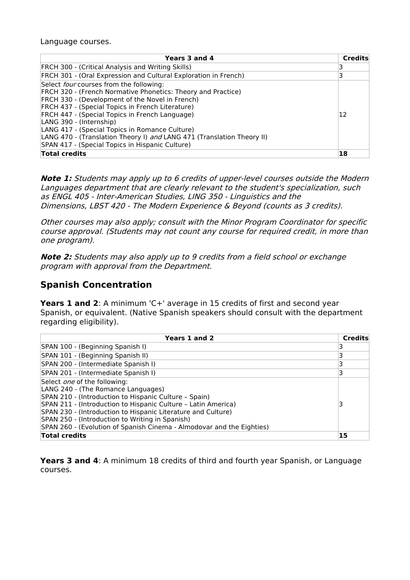Language courses.

| Years 3 and 4                                                                                                                                                                                                                                                                                                                                                                                                                                                              | <b>Credits</b> |
|----------------------------------------------------------------------------------------------------------------------------------------------------------------------------------------------------------------------------------------------------------------------------------------------------------------------------------------------------------------------------------------------------------------------------------------------------------------------------|----------------|
| FRCH 300 - (Critical Analysis and Writing Skills)                                                                                                                                                                                                                                                                                                                                                                                                                          |                |
| FRCH 301 - (Oral Expression and Cultural Exploration in French)                                                                                                                                                                                                                                                                                                                                                                                                            | 3              |
| Select four courses from the following:<br>FRCH 320 - (French Normative Phonetics: Theory and Practice)<br>FRCH 330 - (Development of the Novel in French)<br>FRCH 437 - (Special Topics in French Literature)<br>FRCH 447 - (Special Topics in French Language)<br>LANG 390 - (Internship)<br>LANG 417 - (Special Topics in Romance Culture)<br>LANG 470 - (Translation Theory I) and LANG 471 (Translation Theory II)<br>SPAN 417 - (Special Topics in Hispanic Culture) | 12             |
| <b>Total credits</b>                                                                                                                                                                                                                                                                                                                                                                                                                                                       | 18             |

**Note 1:** Students may apply up to 6 credits of upper-level courses outside the Modern Languages department that are clearly relevant to the student's specialization, such as ENGL 405 - Inter-American Studies, LING 350 - Linguistics and the Dimensions, LBST 420 - The Modern Experience & Beyond (counts as 3 credits).

Other courses may also apply; consult with the Minor Program Coordinator for specific course approval. (Students may not count any course for required credit, in more than one program).

**Note 2:** Students may also apply up to 9 credits from <sup>a</sup> field school or exchange program with approval from the Department.

#### **Spanish Concentration**

**Years 1 and 2**: A minimum 'C+' average in 15 credits of first and second year Spanish, or equivalent. (Native Spanish speakers should consult with the department regarding eligibility).

| Years 1 and 2                                                                                                                                                                                                                                                                                                                                                                                   | Credits |
|-------------------------------------------------------------------------------------------------------------------------------------------------------------------------------------------------------------------------------------------------------------------------------------------------------------------------------------------------------------------------------------------------|---------|
| SPAN 100 - (Beginning Spanish I)                                                                                                                                                                                                                                                                                                                                                                |         |
| SPAN 101 - (Beginning Spanish II)                                                                                                                                                                                                                                                                                                                                                               |         |
| SPAN 200 - (Intermediate Spanish I)                                                                                                                                                                                                                                                                                                                                                             |         |
| SPAN 201 - (Intermediate Spanish I)                                                                                                                                                                                                                                                                                                                                                             |         |
| Select <i>one</i> of the following:<br>LANG 240 - (The Romance Languages)<br>SPAN 210 - (Introduction to Hispanic Culture - Spain)<br>SPAN 211 - (Introduction to Hispanic Culture - Latin America)<br>SPAN 230 - (Introduction to Hispanic Literature and Culture)<br>SPAN 250 - (Introduction to Writing in Spanish)<br>SPAN 260 - (Evolution of Spanish Cinema - Almodovar and the Eighties) |         |
| <b>Total credits</b>                                                                                                                                                                                                                                                                                                                                                                            | 15      |

**Years 3 and 4**: A minimum 18 credits of third and fourth year Spanish, or Language courses.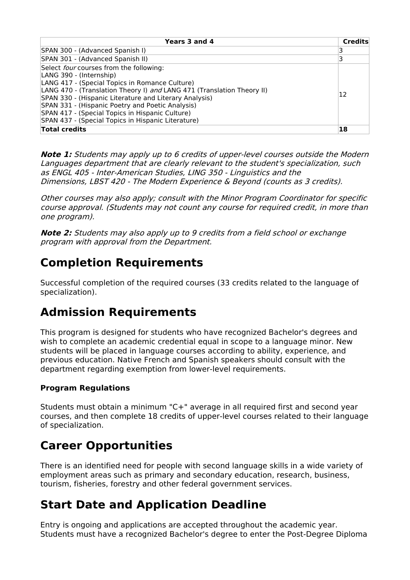| Years 3 and 4                                                                                                                                                                                                                                                                                                                                                                                                         | <b>Credits</b> |
|-----------------------------------------------------------------------------------------------------------------------------------------------------------------------------------------------------------------------------------------------------------------------------------------------------------------------------------------------------------------------------------------------------------------------|----------------|
| SPAN 300 - (Advanced Spanish I)                                                                                                                                                                                                                                                                                                                                                                                       |                |
| SPAN 301 - (Advanced Spanish II)                                                                                                                                                                                                                                                                                                                                                                                      |                |
| Select four courses from the following:<br>LANG 390 - (Internship)<br>LANG 417 - (Special Topics in Romance Culture)<br>LANG 470 - (Translation Theory I) and LANG 471 (Translation Theory II)<br>SPAN 330 - (Hispanic Literature and Literary Analysis)<br>SPAN 331 - (Hispanic Poetry and Poetic Analysis)<br>SPAN 417 - (Special Topics in Hispanic Culture)<br>SPAN 437 - (Special Topics in Hispanic Literature) | 12             |
| <b>Total credits</b>                                                                                                                                                                                                                                                                                                                                                                                                  | 18             |

**Note 1:** Students may apply up to 6 credits of upper-level courses outside the Modern Languages department that are clearly relevant to the student's specialization, such as ENGL 405 - Inter-American Studies, LING 350 - Linguistics and the Dimensions, LBST 420 - The Modern Experience & Beyond (counts as 3 credits).

Other courses may also apply; consult with the Minor Program Coordinator for specific course approval. (Students may not count any course for required credit, in more than one program).

**Note 2:** Students may also apply up to 9 credits from <sup>a</sup> field school or exchange program with approval from the Department.

### **Completion Requirements**

Successful completion of the required courses (33 credits related to the language of specialization).

# **Admission Requirements**

This program is designed for students who have recognized Bachelor's degrees and wish to complete an academic credential equal in scope to a language minor. New students will be placed in language courses according to ability, experience, and previous education. Native French and Spanish speakers should consult with the department regarding exemption from lower-level requirements.

### **Program Regulations**

Students must obtain a minimum "C+" average in all required first and second year courses, and then complete 18 credits of upper-level courses related to their language of specialization.

# **Career Opportunities**

There is an identified need for people with second language skills in a wide variety of employment areas such as primary and secondary education, research, business, tourism, fisheries, forestry and other federal government services.

# **Start Date and Application Deadline**

Entry is ongoing and applications are accepted throughout the academic year. Students must have a recognized Bachelor's degree to enter the Post-Degree Diploma